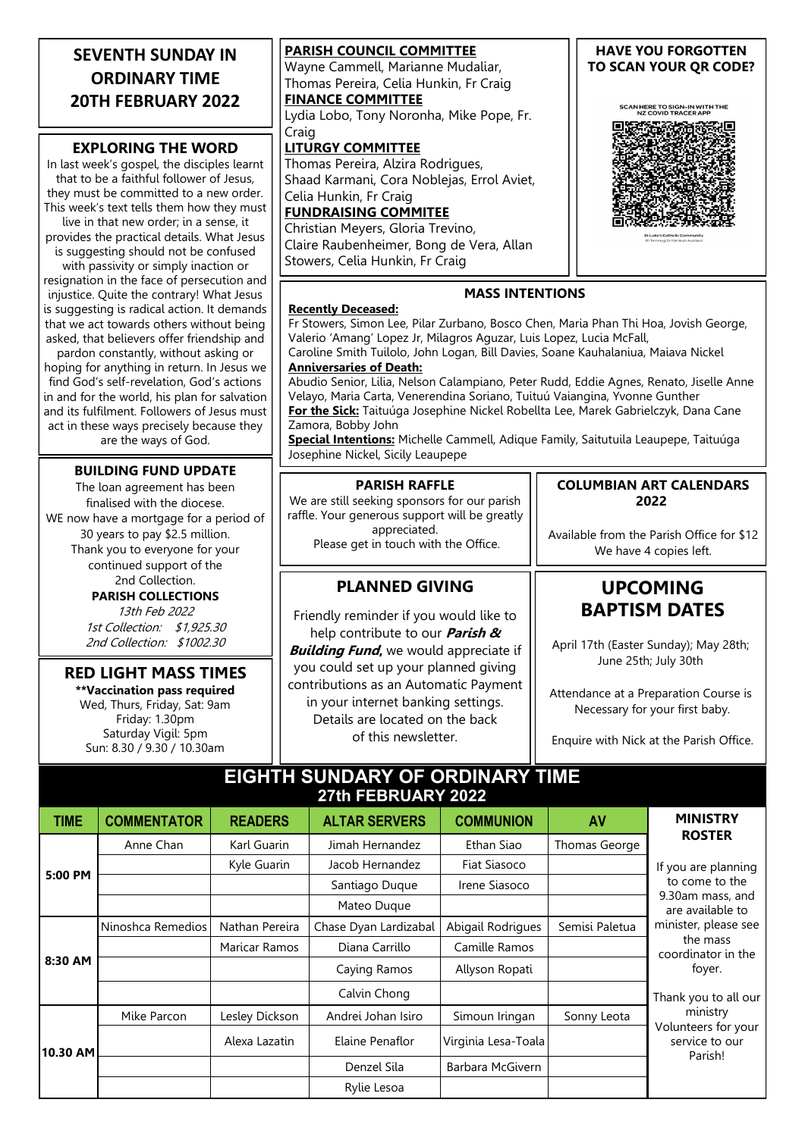| <b>SEVENTH SUNDAY IN</b>                                                                 | <b>PARISH COUNCIL COMMITTEE</b>                                                                                         | <b>HAVE YOU FORGOTTEN</b>                            |  |  |  |
|------------------------------------------------------------------------------------------|-------------------------------------------------------------------------------------------------------------------------|------------------------------------------------------|--|--|--|
| <b>ORDINARY TIME</b>                                                                     | Wayne Cammell, Marianne Mudaliar,                                                                                       | TO SCAN YOUR QR CODE?                                |  |  |  |
|                                                                                          | Thomas Pereira, Celia Hunkin, Fr Craig                                                                                  |                                                      |  |  |  |
| <b>20TH FEBRUARY 2022</b>                                                                | <b>FINANCE COMMITTEE</b>                                                                                                | SCAN HERE TO SIGN-IN WITH THE<br>NZ COVID TRACER APP |  |  |  |
|                                                                                          | Lydia Lobo, Tony Noronha, Mike Pope, Fr.                                                                                |                                                      |  |  |  |
| <b>EXPLORING THE WORD</b>                                                                | Craig<br><b>LITURGY COMMITTEE</b>                                                                                       |                                                      |  |  |  |
| In last week's gospel, the disciples learnt                                              |                                                                                                                         |                                                      |  |  |  |
| that to be a faithful follower of Jesus,                                                 | Thomas Pereira, Alzira Rodrigues,<br>Shaad Karmani, Cora Noblejas, Errol Aviet,                                         |                                                      |  |  |  |
| they must be committed to a new order.                                                   | Celia Hunkin, Fr Craig                                                                                                  |                                                      |  |  |  |
| This week's text tells them how they must                                                | <b>FUNDRAISING COMMITEE</b>                                                                                             |                                                      |  |  |  |
| live in that new order; in a sense, it                                                   |                                                                                                                         |                                                      |  |  |  |
| provides the practical details. What Jesus                                               | Christian Meyers, Gloria Trevino,<br>Claire Raubenheimer, Bong de Vera, Allan                                           |                                                      |  |  |  |
| is suggesting should not be confused                                                     | Stowers, Celia Hunkin, Fr Craig                                                                                         |                                                      |  |  |  |
| with passivity or simply inaction or                                                     |                                                                                                                         |                                                      |  |  |  |
| resignation in the face of persecution and                                               | <b>MASS INTENTIONS</b>                                                                                                  |                                                      |  |  |  |
| injustice. Quite the contrary! What Jesus<br>is suggesting is radical action. It demands | <b>Recently Deceased:</b>                                                                                               |                                                      |  |  |  |
| that we act towards others without being                                                 | Fr Stowers, Simon Lee, Pilar Zurbano, Bosco Chen, Maria Phan Thi Hoa, Jovish George,                                    |                                                      |  |  |  |
| asked, that believers offer friendship and                                               | Valerio 'Amang' Lopez Jr, Milagros Aguzar, Luis Lopez, Lucia McFall,                                                    |                                                      |  |  |  |
| pardon constantly, without asking or                                                     | Caroline Smith Tuilolo, John Logan, Bill Davies, Soane Kauhalaniua, Maiava Nickel                                       |                                                      |  |  |  |
| hoping for anything in return. In Jesus we                                               | <b>Anniversaries of Death:</b>                                                                                          |                                                      |  |  |  |
| find God's self-revelation, God's actions                                                | Abudio Senior, Lilia, Nelson Calampiano, Peter Rudd, Eddie Agnes, Renato, Jiselle Anne                                  |                                                      |  |  |  |
| in and for the world, his plan for salvation                                             | Velayo, Maria Carta, Venerendina Soriano, Tuituú Vaiangina, Yvonne Gunther                                              |                                                      |  |  |  |
| and its fulfilment. Followers of Jesus must                                              | For the Sick: Taituúga Josephine Nickel Robellta Lee, Marek Gabrielczyk, Dana Cane                                      |                                                      |  |  |  |
| act in these ways precisely because they<br>are the ways of God.                         | Zamora, Bobby John                                                                                                      |                                                      |  |  |  |
|                                                                                          | Special Intentions: Michelle Cammell, Adique Family, Saitutuila Leaupepe, Taituúga<br>Josephine Nickel, Sicily Leaupepe |                                                      |  |  |  |
| <b>BUILDING FUND UPDATE</b>                                                              |                                                                                                                         |                                                      |  |  |  |
| The loan agreement has been                                                              | <b>PARISH RAFFLE</b>                                                                                                    | <b>COLUMBIAN ART CALENDARS</b>                       |  |  |  |
| finalised with the diocese.                                                              | We are still seeking sponsors for our parish                                                                            | 2022                                                 |  |  |  |
| WE now have a mortgage for a period of                                                   | raffle. Your generous support will be greatly                                                                           |                                                      |  |  |  |
| 30 years to pay \$2.5 million.                                                           | appreciated.                                                                                                            | Available from the Parish Office for \$12            |  |  |  |
| Thank you to everyone for your                                                           | Please get in touch with the Office.                                                                                    | We have 4 copies left.                               |  |  |  |
| continued support of the                                                                 |                                                                                                                         |                                                      |  |  |  |
| 2nd Collection.                                                                          | <b>PLANNED GIVING</b>                                                                                                   | <b>UPCOMING</b><br><b>BAPTISM DATES</b>              |  |  |  |
| <b>PARISH COLLECTIONS</b>                                                                |                                                                                                                         |                                                      |  |  |  |
| 13th Feb 2022                                                                            | Friendly reminder if you would like to                                                                                  |                                                      |  |  |  |
| 1st Collection: \$1,925.30                                                               | help contribute to our <i>Parish &amp;</i>                                                                              |                                                      |  |  |  |
| 2nd Collection: \$1002.30                                                                | <b>Ruilding Fund</b> we would approciate if                                                                             | April 17th (Easter Sunday); May 28th;                |  |  |  |

**\*\*Vaccination pass required**

Wed, Thurs, Friday, Sat: 9am Friday: 1.30pm Saturday Vigil: 5pm Sun: 8.30 / 9.30 / 10.30am

## **RED LIGHT MASS TIMES**

**Building Fund**, we would appreciate if you could set up your planned giving contributions as an Automatic Payment in your internet banking settings. Details are located on the back of this newsletter.

## Attendance at a Preparation Course is Necessary for your first baby.

June 25th; July 30th

Enquire with Nick at the Parish Office.

## **EIGHTH SUNDARY OF ORDINARY TIME 27th FEBRUARY 2022**

| <b>TIME</b> | <b>COMMENTATOR</b> | <b>READERS</b>       | <b>ALTAR SERVERS</b>  | <b>COMMUNION</b>    | AV             | <b>MINISTRY</b>                                                                                                                                                                                                                                            |
|-------------|--------------------|----------------------|-----------------------|---------------------|----------------|------------------------------------------------------------------------------------------------------------------------------------------------------------------------------------------------------------------------------------------------------------|
| 5:00 PM     | Anne Chan          | Karl Guarin          | Jimah Hernandez       | Ethan Siao          | Thomas George  | <b>ROSTER</b><br>If you are planning<br>to come to the<br>9.30am mass, and<br>are available to<br>minister, please see<br>the mass<br>coordinator in the<br>foyer.<br>Thank you to all our<br>ministry<br>Volunteers for your<br>service to our<br>Parish! |
|             |                    | Kyle Guarin          | Jacob Hernandez       | Fiat Siasoco        |                |                                                                                                                                                                                                                                                            |
|             |                    |                      | Santiago Duque        | Irene Siasoco       |                |                                                                                                                                                                                                                                                            |
|             |                    |                      | Mateo Duque           |                     |                |                                                                                                                                                                                                                                                            |
| 8:30 AM     | Ninoshca Remedios  | Nathan Pereira       | Chase Dyan Lardizabal | Abigail Rodrigues   | Semisi Paletua |                                                                                                                                                                                                                                                            |
|             |                    | <b>Maricar Ramos</b> | Diana Carrillo        | Camille Ramos       |                |                                                                                                                                                                                                                                                            |
|             |                    |                      | Caying Ramos          | Allyson Ropati      |                |                                                                                                                                                                                                                                                            |
|             |                    |                      | Calvin Chong          |                     |                |                                                                                                                                                                                                                                                            |
| 10.30 AM    | Mike Parcon        | Lesley Dickson       | Andrei Johan Isiro    | Simoun Iringan      | Sonny Leota    |                                                                                                                                                                                                                                                            |
|             |                    | Alexa Lazatin        | Elaine Penaflor       | Virginia Lesa-Toala |                |                                                                                                                                                                                                                                                            |
|             |                    |                      | Denzel Sila           | Barbara McGivern    |                |                                                                                                                                                                                                                                                            |
|             |                    |                      | Rylie Lesoa           |                     |                |                                                                                                                                                                                                                                                            |